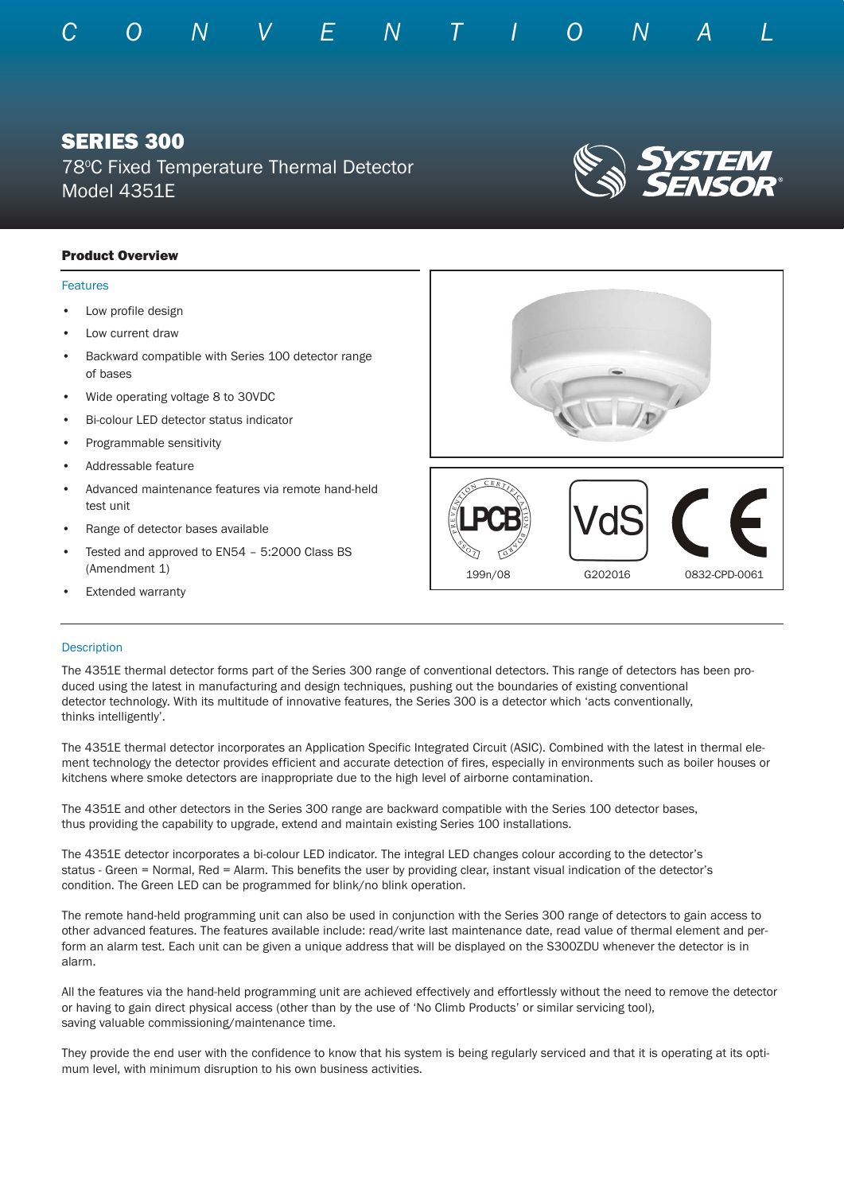

# SERIES 300

78°C Fixed Temperature Thermal Detector Model 4351E

## Product Overview

### Features

- Low profile design
- Low current draw
- Backward compatible with Series 100 detector range of bases
- Wide operating voltage 8 to 30VDC
- Bi-colour LED detector status indicator
- Programmable sensitivity
- Addressable feature
- Advanced maintenance features via remote hand-held test unit
- Range of detector bases available
- Tested and approved to EN54 5:2000 Class BS (Amendment 1)
- **Extended warranty**



### **Description**

The 4351E thermal detector forms part of the Series 300 range of conventional detectors. This range of detectors has been produced using the latest in manufacturing and design techniques, pushing out the boundaries of existing conventional detector technology. With its multitude of innovative features, the Series 300 is a detector which 'acts conventionally, thinks intelligently'.

The 4351E thermal detector incorporates an Application Specific Integrated Circuit (ASIC). Combined with the latest in thermal element technology the detector provides efficient and accurate detection of fires, especially in environments such as boiler houses or kitchens where smoke detectors are inappropriate due to the high level of airborne contamination.

The 4351E and other detectors in the Series 300 range are backward compatible with the Series 100 detector bases, thus providing the capability to upgrade, extend and maintain existing Series 100 installations.

The 4351E detector incorporates a bi-colour LED indicator. The integral LED changes colour according to the detector's status - Green = Normal, Red = Alarm. This benefits the user by providing clear, instant visual indication of the detector's condition. The Green LED can be programmed for blink/no blink operation.

The remote hand-held programming unit can also be used in conjunction with the Series 300 range of detectors to gain access to other advanced features. The features available include: read/write last maintenance date, read value of thermal element and perform an alarm test. Each unit can be given a unique address that will be displayed on the S300ZDU whenever the detector is in alarm.

All the features via the hand-held programming unit are achieved effectively and effortlessly without the need to remove the detector or having to gain direct physical access (other than by the use of 'No Climb Products' or similar servicing tool), saving valuable commissioning/maintenance time.

They provide the end user with the confidence to know that his system is being regularly serviced and that it is operating at its optimum level, with minimum disruption to his own business activities.